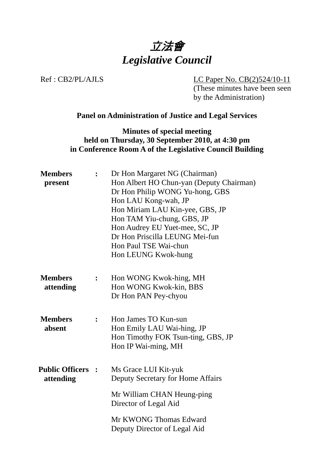

Ref : CB2/PL/AJLS LC Paper No. CB(2)524/10-11 (These minutes have been seen by the Administration)

#### **Panel on Administration of Justice and Legal Services**

**Minutes of special meeting held on Thursday, 30 September 2010, at 4:30 pm in Conference Room A of the Legislative Council Building** 

| <b>Members</b><br>present             |                  | Dr Hon Margaret NG (Chairman)<br>Hon Albert HO Chun-yan (Deputy Chairman)<br>Dr Hon Philip WONG Yu-hong, GBS<br>Hon LAU Kong-wah, JP<br>Hon Miriam LAU Kin-yee, GBS, JP<br>Hon TAM Yiu-chung, GBS, JP<br>Hon Audrey EU Yuet-mee, SC, JP<br>Dr Hon Priscilla LEUNG Mei-fun<br>Hon Paul TSE Wai-chun<br>Hon LEUNG Kwok-hung |
|---------------------------------------|------------------|---------------------------------------------------------------------------------------------------------------------------------------------------------------------------------------------------------------------------------------------------------------------------------------------------------------------------|
| <b>Members</b><br>attending           | $\ddot{\bullet}$ | Hon WONG Kwok-hing, MH<br>Hon WONG Kwok-kin, BBS<br>Dr Hon PAN Pey-chyou                                                                                                                                                                                                                                                  |
| <b>Members</b><br>absent              | :                | Hon James TO Kun-sun<br>Hon Emily LAU Wai-hing, JP<br>Hon Timothy FOK Tsun-ting, GBS, JP<br>Hon IP Wai-ming, MH                                                                                                                                                                                                           |
| <b>Public Officers :</b><br>attending |                  | Ms Grace LUI Kit-yuk<br>Deputy Secretary for Home Affairs                                                                                                                                                                                                                                                                 |
|                                       |                  | Mr William CHAN Heung-ping<br>Director of Legal Aid                                                                                                                                                                                                                                                                       |
|                                       |                  | Mr KWONG Thomas Edward<br>Deputy Director of Legal Aid                                                                                                                                                                                                                                                                    |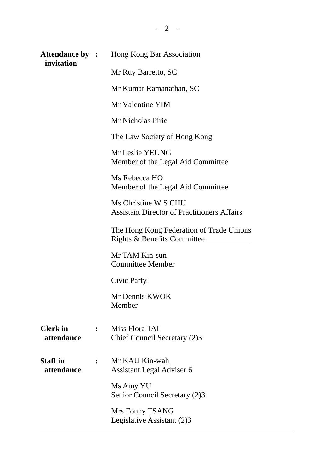| <b>Attendance by :</b><br>invitation |                | <b>Hong Kong Bar Association</b>                                                   |
|--------------------------------------|----------------|------------------------------------------------------------------------------------|
|                                      |                | Mr Ruy Barretto, SC                                                                |
|                                      |                | Mr Kumar Ramanathan, SC                                                            |
|                                      |                | Mr Valentine YIM                                                                   |
|                                      |                | Mr Nicholas Pirie                                                                  |
|                                      |                | <u>The Law Society of Hong Kong</u>                                                |
|                                      |                | Mr Leslie YEUNG<br>Member of the Legal Aid Committee                               |
|                                      |                | Ms Rebecca HO<br>Member of the Legal Aid Committee                                 |
|                                      |                | Ms Christine W S CHU<br><b>Assistant Director of Practitioners Affairs</b>         |
|                                      |                | The Hong Kong Federation of Trade Unions<br><b>Rights &amp; Benefits Committee</b> |
|                                      |                | Mr TAM Kin-sun<br><b>Committee Member</b>                                          |
|                                      |                | <b>Civic Party</b>                                                                 |
|                                      |                | Mr Dennis KWOK<br>Member                                                           |
| <b>Clerk</b> in<br>attendance        | $\ddot{\cdot}$ | Miss Flora TAI<br>Chief Council Secretary (2)3                                     |
| <b>Staff</b> in<br>attendance        | $\ddot{\cdot}$ | Mr KAU Kin-wah<br>Assistant Legal Adviser 6                                        |
|                                      |                | Ms Amy YU<br>Senior Council Secretary (2)3                                         |
|                                      |                | Mrs Fonny TSANG<br>Legislative Assistant (2)3                                      |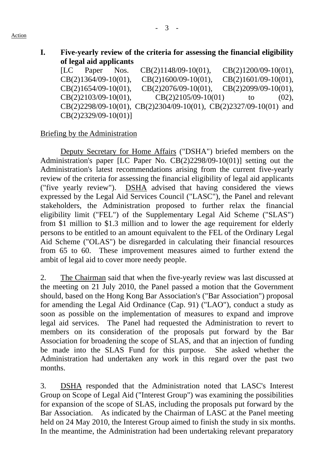| Five-yearly review of the criteria for assessing the financial eligibility |
|----------------------------------------------------------------------------|
| of legal aid applicants                                                    |

[LC Paper Nos. CB(2)1148/09-10(01), CB(2)1200/09-10(01), CB(2)1364/09-10(01), CB(2)1600/09-10(01), CB(2)1601/09-10(01), CB(2)1654/09-10(01), CB(2)2076/09-10(01), CB(2)2099/09-10(01),  $CB(2)2103/09-10(01)$ ,  $CB(2)2105/09-10(01)$  to (02), CB(2)2298/09-10(01), CB(2)2304/09-10(01), CB(2)2327/09-10(01) and CB(2)2329/09-10(01)]

### Briefing by the Administration

Deputy Secretary for Home Affairs ("DSHA") briefed members on the Administration's paper [LC Paper No. CB(2)2298/09-10(01)] setting out the Administration's latest recommendations arising from the current five-yearly review of the criteria for assessing the financial eligibility of legal aid applicants ("five yearly review"). DSHA advised that having considered the views expressed by the Legal Aid Services Council ("LASC"), the Panel and relevant stakeholders, the Administration proposed to further relax the financial eligibility limit ("FEL") of the Supplementary Legal Aid Scheme ("SLAS") from \$1 million to \$1.3 million and to lower the age requirement for elderly persons to be entitled to an amount equivalent to the FEL of the Ordinary Legal Aid Scheme ("OLAS") be disregarded in calculating their financial resources from 65 to 60. These improvement measures aimed to further extend the ambit of legal aid to cover more needy people.

2. The Chairman said that when the five-yearly review was last discussed at the meeting on 21 July 2010, the Panel passed a motion that the Government should, based on the Hong Kong Bar Association's ("Bar Association") proposal for amending the Legal Aid Ordinance (Cap. 91) ("LAO"), conduct a study as soon as possible on the implementation of measures to expand and improve legal aid services. The Panel had requested the Administration to revert to members on its consideration of the proposals put forward by the Bar Association for broadening the scope of SLAS, and that an injection of funding be made into the SLAS Fund for this purpose. She asked whether the Administration had undertaken any work in this regard over the past two months.

3. DSHA responded that the Administration noted that LASC's Interest Group on Scope of Legal Aid ("Interest Group") was examining the possibilities for expansion of the scope of SLAS, including the proposals put forward by the Bar Association. As indicated by the Chairman of LASC at the Panel meeting held on 24 May 2010, the Interest Group aimed to finish the study in six months. In the meantime, the Administration had been undertaking relevant preparatory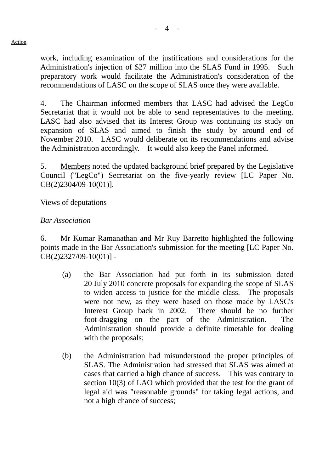work, including examination of the justifications and considerations for the Administration's injection of \$27 million into the SLAS Fund in 1995. Such preparatory work would facilitate the Administration's consideration of the recommendations of LASC on the scope of SLAS once they were available.

4. The Chairman informed members that LASC had advised the LegCo Secretariat that it would not be able to send representatives to the meeting. LASC had also advised that its Interest Group was continuing its study on expansion of SLAS and aimed to finish the study by around end of November 2010. LASC would deliberate on its recommendations and advise the Administration accordingly. It would also keep the Panel informed.

5. Members noted the updated background brief prepared by the Legislative Council ("LegCo") Secretariat on the five-yearly review [LC Paper No. CB(2)2304/09-10(01)].

### Views of deputations

### *Bar Association*

6. Mr Kumar Ramanathan and Mr Ruy Barretto highlighted the following points made in the Bar Association's submission for the meeting [LC Paper No. CB(2)2327/09-10(01)] -

- (a) the Bar Association had put forth in its submission dated 20 July 2010 concrete proposals for expanding the scope of SLAS to widen access to justice for the middle class. The proposals were not new, as they were based on those made by LASC's Interest Group back in 2002. There should be no further foot-dragging on the part of the Administration. The Administration should provide a definite timetable for dealing with the proposals;
- (b) the Administration had misunderstood the proper principles of SLAS. The Administration had stressed that SLAS was aimed at cases that carried a high chance of success. This was contrary to section 10(3) of LAO which provided that the test for the grant of legal aid was "reasonable grounds" for taking legal actions, and not a high chance of success;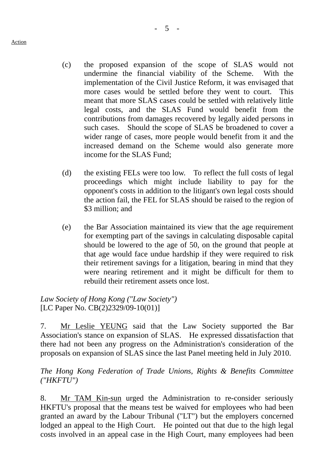- (c) the proposed expansion of the scope of SLAS would not undermine the financial viability of the Scheme. With the implementation of the Civil Justice Reform, it was envisaged that more cases would be settled before they went to court. This meant that more SLAS cases could be settled with relatively little legal costs, and the SLAS Fund would benefit from the contributions from damages recovered by legally aided persons in such cases. Should the scope of SLAS be broadened to cover a wider range of cases, more people would benefit from it and the increased demand on the Scheme would also generate more income for the SLAS Fund;
- (d) the existing FELs were too low. To reflect the full costs of legal proceedings which might include liability to pay for the opponent's costs in addition to the litigant's own legal costs should the action fail, the FEL for SLAS should be raised to the region of \$3 million; and
- (e) the Bar Association maintained its view that the age requirement for exempting part of the savings in calculating disposable capital should be lowered to the age of 50, on the ground that people at that age would face undue hardship if they were required to risk their retirement savings for a litigation, bearing in mind that they were nearing retirement and it might be difficult for them to rebuild their retirement assets once lost.

*Law Society of Hong Kong ("Law Society")*  [LC Paper No. CB(2)2329/09-10(01)]

7. Mr Leslie YEUNG said that the Law Society supported the Bar Association's stance on expansion of SLAS. He expressed dissatisfaction that there had not been any progress on the Administration's consideration of the proposals on expansion of SLAS since the last Panel meeting held in July 2010.

### *The Hong Kong Federation of Trade Unions, Rights & Benefits Committee ("HKFTU")*

8. Mr TAM Kin-sun urged the Administration to re-consider seriously HKFTU's proposal that the means test be waived for employees who had been granted an award by the Labour Tribunal ("LT") but the employers concerned lodged an appeal to the High Court. He pointed out that due to the high legal costs involved in an appeal case in the High Court, many employees had been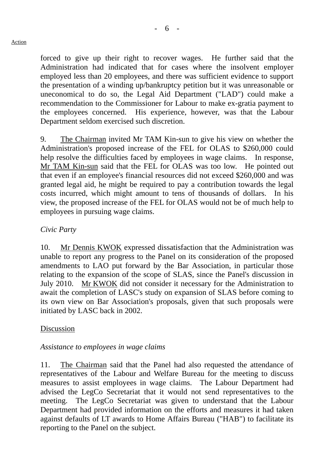forced to give up their right to recover wages. He further said that the Administration had indicated that for cases where the insolvent employer employed less than 20 employees, and there was sufficient evidence to support the presentation of a winding up/bankruptcy petition but it was unreasonable or

uneconomical to do so, the Legal Aid Department ("LAD") could make a recommendation to the Commissioner for Labour to make ex-gratia payment to the employees concerned. His experience, however, was that the Labour Department seldom exercised such discretion.

9. The Chairman invited Mr TAM Kin-sun to give his view on whether the Administration's proposed increase of the FEL for OLAS to \$260,000 could help resolve the difficulties faced by employees in wage claims. In response, Mr TAM Kin-sun said that the FEL for OLAS was too low. He pointed out that even if an employee's financial resources did not exceed \$260,000 and was granted legal aid, he might be required to pay a contribution towards the legal costs incurred, which might amount to tens of thousands of dollars. In his view, the proposed increase of the FEL for OLAS would not be of much help to employees in pursuing wage claims.

# *Civic Party*

10. Mr Dennis KWOK expressed dissatisfaction that the Administration was unable to report any progress to the Panel on its consideration of the proposed amendments to LAO put forward by the Bar Association, in particular those relating to the expansion of the scope of SLAS, since the Panel's discussion in July 2010. Mr KWOK did not consider it necessary for the Administration to await the completion of LASC's study on expansion of SLAS before coming to its own view on Bar Association's proposals, given that such proposals were initiated by LASC back in 2002.

# Discussion

### *Assistance to employees in wage claims*

11. The Chairman said that the Panel had also requested the attendance of representatives of the Labour and Welfare Bureau for the meeting to discuss measures to assist employees in wage claims. The Labour Department had advised the LegCo Secretariat that it would not send representatives to the meeting. The LegCo Secretariat was given to understand that the Labour Department had provided information on the efforts and measures it had taken against defaults of LT awards to Home Affairs Bureau ("HAB") to facilitate its reporting to the Panel on the subject.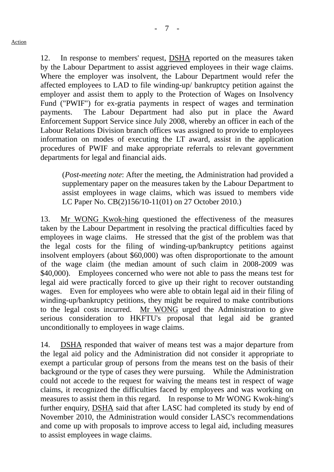12. In response to members' request, DSHA reported on the measures taken by the Labour Department to assist aggrieved employees in their wage claims. Where the employer was insolvent, the Labour Department would refer the affected employees to LAD to file winding-up/ bankruptcy petition against the employer and assist them to apply to the Protection of Wages on Insolvency Fund ("PWIF") for ex-gratia payments in respect of wages and termination payments. The Labour Department had also put in place the Award Enforcement Support Service since July 2008, whereby an officer in each of the Labour Relations Division branch offices was assigned to provide to employees information on modes of executing the LT award, assist in the application procedures of PWIF and make appropriate referrals to relevant government departments for legal and financial aids.

(*Post-meeting note*: After the meeting, the Administration had provided a supplementary paper on the measures taken by the Labour Department to assist employees in wage claims, which was issued to members vide LC Paper No. CB(2)156/10-11(01) on 27 October 2010.)

13. Mr WONG Kwok-hing questioned the effectiveness of the measures taken by the Labour Department in resolving the practical difficulties faced by employees in wage claims. He stressed that the gist of the problem was that the legal costs for the filing of winding-up/bankruptcy petitions against insolvent employers (about \$60,000) was often disproportionate to the amount of the wage claim (the median amount of such claim in 2008-2009 was \$40,000). Employees concerned who were not able to pass the means test for legal aid were practically forced to give up their right to recover outstanding wages. Even for employees who were able to obtain legal aid in their filing of winding-up/bankruptcy petitions, they might be required to make contributions to the legal costs incurred. Mr WONG urged the Administration to give serious consideration to HKFTU's proposal that legal aid be granted unconditionally to employees in wage claims.

14. DSHA responded that waiver of means test was a major departure from the legal aid policy and the Administration did not consider it appropriate to exempt a particular group of persons from the means test on the basis of their background or the type of cases they were pursuing. While the Administration could not accede to the request for waiving the means test in respect of wage claims, it recognized the difficulties faced by employees and was working on measures to assist them in this regard. In response to Mr WONG Kwok-hing's further enquiry, DSHA said that after LASC had completed its study by end of November 2010, the Administration would consider LASC's recommendations and come up with proposals to improve access to legal aid, including measures to assist employees in wage claims.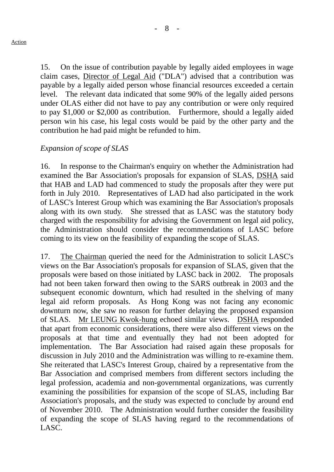15. On the issue of contribution payable by legally aided employees in wage claim cases, Director of Legal Aid ("DLA") advised that a contribution was payable by a legally aided person whose financial resources exceeded a certain level. The relevant data indicated that some 90% of the legally aided persons under OLAS either did not have to pay any contribution or were only required to pay \$1,000 or \$2,000 as contribution. Furthermore, should a legally aided person win his case, his legal costs would be paid by the other party and the contribution he had paid might be refunded to him.

### *Expansion of scope of SLAS*

16. In response to the Chairman's enquiry on whether the Administration had examined the Bar Association's proposals for expansion of SLAS, DSHA said that HAB and LAD had commenced to study the proposals after they were put forth in July 2010. Representatives of LAD had also participated in the work of LASC's Interest Group which was examining the Bar Association's proposals along with its own study. She stressed that as LASC was the statutory body charged with the responsibility for advising the Government on legal aid policy, the Administration should consider the recommendations of LASC before coming to its view on the feasibility of expanding the scope of SLAS.

17. The Chairman queried the need for the Administration to solicit LASC's views on the Bar Association's proposals for expansion of SLAS, given that the proposals were based on those initiated by LASC back in 2002. The proposals had not been taken forward then owing to the SARS outbreak in 2003 and the subsequent economic downturn, which had resulted in the shelving of many legal aid reform proposals. As Hong Kong was not facing any economic downturn now, she saw no reason for further delaying the proposed expansion of SLAS. Mr LEUNG Kwok-hung echoed similar views. DSHA responded that apart from economic considerations, there were also different views on the proposals at that time and eventually they had not been adopted for implementation. The Bar Association had raised again these proposals for discussion in July 2010 and the Administration was willing to re-examine them. She reiterated that LASC's Interest Group, chaired by a representative from the Bar Association and comprised members from different sectors including the legal profession, academia and non-governmental organizations, was currently examining the possibilities for expansion of the scope of SLAS, including Bar Association's proposals, and the study was expected to conclude by around end of November 2010. The Administration would further consider the feasibility of expanding the scope of SLAS having regard to the recommendations of LASC.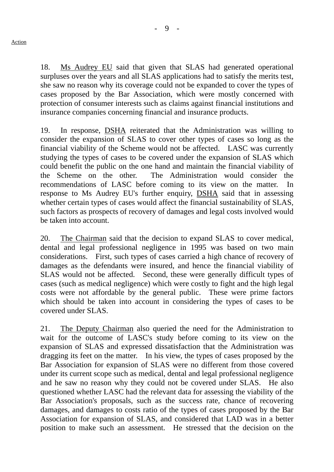18. Ms Audrey EU said that given that SLAS had generated operational surpluses over the years and all SLAS applications had to satisfy the merits test, she saw no reason why its coverage could not be expanded to cover the types of cases proposed by the Bar Association, which were mostly concerned with protection of consumer interests such as claims against financial institutions and insurance companies concerning financial and insurance products.

19. In response, DSHA reiterated that the Administration was willing to consider the expansion of SLAS to cover other types of cases so long as the financial viability of the Scheme would not be affected. LASC was currently studying the types of cases to be covered under the expansion of SLAS which could benefit the public on the one hand and maintain the financial viability of the Scheme on the other. The Administration would consider the recommendations of LASC before coming to its view on the matter. In response to Ms Audrey EU's further enquiry, DSHA said that in assessing whether certain types of cases would affect the financial sustainability of SLAS, such factors as prospects of recovery of damages and legal costs involved would be taken into account.

20. The Chairman said that the decision to expand SLAS to cover medical, dental and legal professional negligence in 1995 was based on two main considerations. First, such types of cases carried a high chance of recovery of damages as the defendants were insured, and hence the financial viability of SLAS would not be affected. Second, these were generally difficult types of cases (such as medical negligence) which were costly to fight and the high legal costs were not affordable by the general public. These were prime factors which should be taken into account in considering the types of cases to be covered under SLAS.

21. The Deputy Chairman also queried the need for the Administration to wait for the outcome of LASC's study before coming to its view on the expansion of SLAS and expressed dissatisfaction that the Administration was dragging its feet on the matter. In his view, the types of cases proposed by the Bar Association for expansion of SLAS were no different from those covered under its current scope such as medical, dental and legal professional negligence and he saw no reason why they could not be covered under SLAS. He also questioned whether LASC had the relevant data for assessing the viability of the Bar Association's proposals, such as the success rate, chance of recovering damages, and damages to costs ratio of the types of cases proposed by the Bar Association for expansion of SLAS, and considered that LAD was in a better position to make such an assessment. He stressed that the decision on the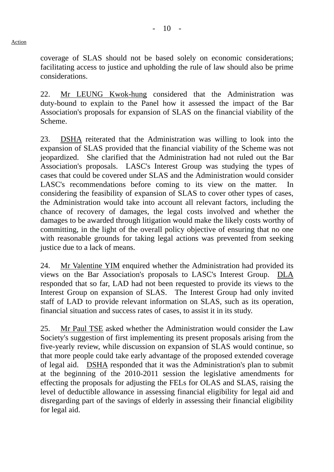coverage of SLAS should not be based solely on economic considerations; facilitating access to justice and upholding the rule of law should also be prime considerations.

22. Mr LEUNG Kwok-hung considered that the Administration was duty-bound to explain to the Panel how it assessed the impact of the Bar Association's proposals for expansion of SLAS on the financial viability of the Scheme.

23. DSHA reiterated that the Administration was willing to look into the expansion of SLAS provided that the financial viability of the Scheme was not jeopardized. She clarified that the Administration had not ruled out the Bar Association's proposals. LASC's Interest Group was studying the types of cases that could be covered under SLAS and the Administration would consider LASC's recommendations before coming to its view on the matter. In considering the feasibility of expansion of SLAS to cover other types of cases, the Administration would take into account all relevant factors, including the chance of recovery of damages, the legal costs involved and whether the damages to be awarded through litigation would make the likely costs worthy of committing, in the light of the overall policy objective of ensuring that no one with reasonable grounds for taking legal actions was prevented from seeking justice due to a lack of means.

24. Mr Valentine YIM enquired whether the Administration had provided its views on the Bar Association's proposals to LASC's Interest Group. DLA responded that so far, LAD had not been requested to provide its views to the Interest Group on expansion of SLAS. The Interest Group had only invited staff of LAD to provide relevant information on SLAS, such as its operation, financial situation and success rates of cases, to assist it in its study.

25. Mr Paul TSE asked whether the Administration would consider the Law Society's suggestion of first implementing its present proposals arising from the five-yearly review, while discussion on expansion of SLAS would continue, so that more people could take early advantage of the proposed extended coverage of legal aid. DSHA responded that it was the Administration's plan to submit at the beginning of the 2010-2011 session the legislative amendments for effecting the proposals for adjusting the FELs for OLAS and SLAS, raising the level of deductible allowance in assessing financial eligibility for legal aid and disregarding part of the savings of elderly in assessing their financial eligibility for legal aid.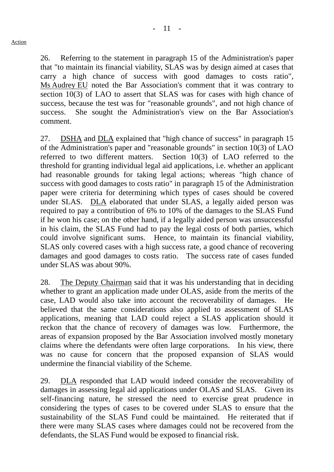26. Referring to the statement in paragraph 15 of the Administration's paper that "to maintain its financial viability, SLAS was by design aimed at cases that carry a high chance of success with good damages to costs ratio", Ms Audrey EU noted the Bar Association's comment that it was contrary to section 10(3) of LAO to assert that SLAS was for cases with high chance of success, because the test was for "reasonable grounds", and not high chance of success. She sought the Administration's view on the Bar Association's comment.

27. DSHA and DLA explained that "high chance of success" in paragraph 15 of the Administration's paper and "reasonable grounds" in section 10(3) of LAO referred to two different matters. Section 10(3) of LAO referred to the threshold for granting individual legal aid applications, i.e. whether an applicant had reasonable grounds for taking legal actions; whereas "high chance of success with good damages to costs ratio" in paragraph 15 of the Administration paper were criteria for determining which types of cases should be covered under SLAS. DLA elaborated that under SLAS, a legally aided person was required to pay a contribution of 6% to 10% of the damages to the SLAS Fund if he won his case; on the other hand, if a legally aided person was unsuccessful in his claim, the SLAS Fund had to pay the legal costs of both parties, which could involve significant sums. Hence, to maintain its financial viability, SLAS only covered cases with a high success rate, a good chance of recovering damages and good damages to costs ratio. The success rate of cases funded under SLAS was about 90%.

28. The Deputy Chairman said that it was his understanding that in deciding whether to grant an application made under OLAS, aside from the merits of the case, LAD would also take into account the recoverability of damages. He believed that the same considerations also applied to assessment of SLAS applications, meaning that LAD could reject a SLAS application should it reckon that the chance of recovery of damages was low. Furthermore, the areas of expansion proposed by the Bar Association involved mostly monetary claims where the defendants were often large corporations. In his view, there was no cause for concern that the proposed expansion of SLAS would undermine the financial viability of the Scheme.

29. DLA responded that LAD would indeed consider the recoverability of damages in assessing legal aid applications under OLAS and SLAS. Given its self-financing nature, he stressed the need to exercise great prudence in considering the types of cases to be covered under SLAS to ensure that the sustainability of the SLAS Fund could be maintained. He reiterated that if there were many SLAS cases where damages could not be recovered from the defendants, the SLAS Fund would be exposed to financial risk.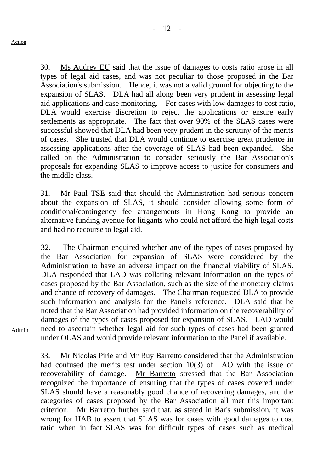30. Ms Audrey EU said that the issue of damages to costs ratio arose in all types of legal aid cases, and was not peculiar to those proposed in the Bar Association's submission. Hence, it was not a valid ground for objecting to the expansion of SLAS. DLA had all along been very prudent in assessing legal aid applications and case monitoring. For cases with low damages to cost ratio, DLA would exercise discretion to reject the applications or ensure early settlements as appropriate. The fact that over 90% of the SLAS cases were successful showed that DLA had been very prudent in the scrutiny of the merits of cases. She trusted that DLA would continue to exercise great prudence in assessing applications after the coverage of SLAS had been expanded. She called on the Administration to consider seriously the Bar Association's proposals for expanding SLAS to improve access to justice for consumers and the middle class.

31. Mr Paul TSE said that should the Administration had serious concern about the expansion of SLAS, it should consider allowing some form of conditional/contingency fee arrangements in Hong Kong to provide an alternative funding avenue for litigants who could not afford the high legal costs and had no recourse to legal aid.

32. The Chairman enquired whether any of the types of cases proposed by the Bar Association for expansion of SLAS were considered by the Administration to have an adverse impact on the financial viability of SLAS. DLA responded that LAD was collating relevant information on the types of cases proposed by the Bar Association, such as the size of the monetary claims and chance of recovery of damages. The Chairman requested DLA to provide such information and analysis for the Panel's reference. DLA said that he noted that the Bar Association had provided information on the recoverability of damages of the types of cases proposed for expansion of SLAS. LAD would need to ascertain whether legal aid for such types of cases had been granted under OLAS and would provide relevant information to the Panel if available.

Admin

33. Mr Nicolas Pirie and Mr Ruy Barretto considered that the Administration had confused the merits test under section 10(3) of LAO with the issue of recoverability of damage. Mr Barretto stressed that the Bar Association recognized the importance of ensuring that the types of cases covered under SLAS should have a reasonably good chance of recovering damages, and the categories of cases proposed by the Bar Association all met this important criterion. Mr Barretto further said that, as stated in Bar's submission, it was wrong for HAB to assert that SLAS was for cases with good damages to cost ratio when in fact SLAS was for difficult types of cases such as medical